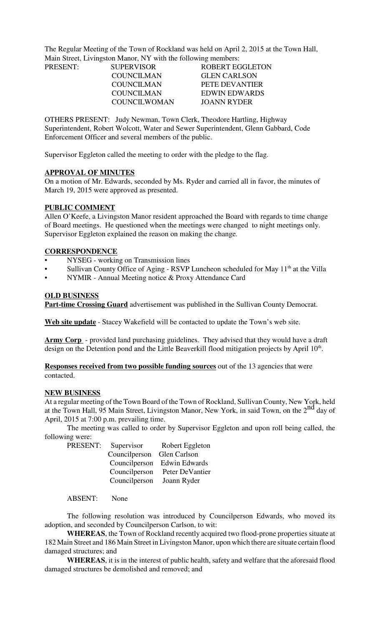The Regular Meeting of the Town of Rockland was held on April 2, 2015 at the Town Hall, Main Street, Livingston Manor, NY with the following members:

| PRESENT: | <b>SUPERVISOR</b> | ROBERT EGGLETON     |
|----------|-------------------|---------------------|
|          | <b>COUNCILMAN</b> | <b>GLEN CARLSON</b> |
|          | COUNCILMAN        | PETE DEVANTIER      |
|          | <b>COUNCILMAN</b> | EDWIN EDWARDS       |
|          | COUNCIL WOMAN     | JOANN RYDER         |

OTHERS PRESENT: Judy Newman, Town Clerk, Theodore Hartling, Highway Superintendent, Robert Wolcott, Water and Sewer Superintendent, Glenn Gabbard, Code Enforcement Officer and several members of the public.

Supervisor Eggleton called the meeting to order with the pledge to the flag.

### **APPROVAL OF MINUTES**

On a motion of Mr. Edwards, seconded by Ms. Ryder and carried all in favor, the minutes of March 19, 2015 were approved as presented.

### **PUBLIC COMMENT**

Allen O'Keefe, a Livingston Manor resident approached the Board with regards to time change of Board meetings. He questioned when the meetings were changed to night meetings only. Supervisor Eggleton explained the reason on making the change.

### **CORRESPONDENCE**

- NYSEG working on Transmission lines
- Sullivan County Office of Aging RSVP Luncheon scheduled for May  $11<sup>th</sup>$  at the Villa
- NYMIR Annual Meeting notice & Proxy Attendance Card

### **OLD BUSINESS**

**Part-time Crossing Guard** advertisement was published in the Sullivan County Democrat.

**Web site update** - Stacey Wakefield will be contacted to update the Town's web site.

**Army Corp** - provided land purchasing guidelines. They advised that they would have a draft design on the Detention pond and the Little Beaverkill flood mitigation projects by April 10<sup>th</sup>.

**Responses received from two possible funding sources** out of the 13 agencies that were contacted.

#### **NEW BUSINESS**

At a regular meeting of the Town Board of the Town of Rockland, Sullivan County, New York, held at the Town Hall, 95 Main Street, Livingston Manor, New York, in said Town, on the 2<sup>nd</sup> day of April, 2015 at 7:00 p.m. prevailing time.

The meeting was called to order by Supervisor Eggleton and upon roll being called, the following were:

| PRESENT:<br>Supervisor | Robert Eggleton             |  |
|------------------------|-----------------------------|--|
|                        |                             |  |
|                        | Councilperson Edwin Edwards |  |
| Councilperson          | Peter DeVantier             |  |
| Councilperson          | Joann Ryder                 |  |
|                        | Councilperson Glen Carlson  |  |

ABSENT: None

The following resolution was introduced by Councilperson Edwards, who moved its adoption, and seconded by Councilperson Carlson, to wit:

**WHEREAS**, the Town of Rockland recently acquired two flood-prone properties situate at 182 Main Street and 186 Main Street in Livingston Manor, upon which there are situate certain flood damaged structures; and

**WHEREAS**, it is in the interest of public health, safety and welfare that the aforesaid flood damaged structures be demolished and removed; and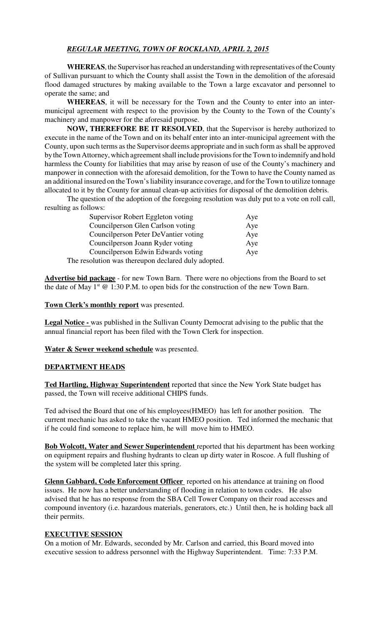# *REGULAR MEETING, TOWN OF ROCKLAND, APRIL 2, 2015*

**WHEREAS**, the Supervisor has reached an understanding with representatives of the County of Sullivan pursuant to which the County shall assist the Town in the demolition of the aforesaid flood damaged structures by making available to the Town a large excavator and personnel to operate the same; and

**WHEREAS**, it will be necessary for the Town and the County to enter into an intermunicipal agreement with respect to the provision by the County to the Town of the County's machinery and manpower for the aforesaid purpose.

**NOW, THEREFORE BE IT RESOLVED**, that the Supervisor is hereby authorized to execute in the name of the Town and on its behalf enter into an inter-municipal agreement with the County, upon such terms as the Supervisor deems appropriate and in such form as shall be approved by the Town Attorney, which agreement shall include provisions for the Town to indemnify and hold harmless the County for liabilities that may arise by reason of use of the County's machinery and manpower in connection with the aforesaid demolition, for the Town to have the County named as an additional insured on the Town's liability insurance coverage, and for the Town to utilize tonnage allocated to it by the County for annual clean-up activities for disposal of the demolition debris.

The question of the adoption of the foregoing resolution was duly put to a vote on roll call, resulting as follows:

| Supervisor Robert Eggleton voting                   |     |
|-----------------------------------------------------|-----|
| Councilperson Glen Carlson voting                   | Aye |
| Councilperson Peter DeVantier voting                | Aye |
| Councilperson Joann Ryder voting                    | Aye |
| Councilperson Edwin Edwards voting                  | Aye |
| The resolution was thereupon declared duly adopted. |     |

**Advertise bid package** - for new Town Barn. There were no objections from the Board to set the date of May  $1^{st}$  @ 1:30 P.M. to open bids for the construction of the new Town Barn.

**Town Clerk's monthly report** was presented.

**Legal Notice -** was published in the Sullivan County Democrat advising to the public that the annual financial report has been filed with the Town Clerk for inspection.

**Water & Sewer weekend schedule** was presented.

#### **DEPARTMENT HEADS**

**Ted Hartling, Highway Superintendent** reported that since the New York State budget has passed, the Town will receive additional CHIPS funds.

Ted advised the Board that one of his employees(HMEO) has left for another position. The current mechanic has asked to take the vacant HMEO position. Ted informed the mechanic that if he could find someone to replace him, he will move him to HMEO.

**Bob Wolcott, Water and Sewer Superintendent** reported that his department has been working on equipment repairs and flushing hydrants to clean up dirty water in Roscoe. A full flushing of the system will be completed later this spring.

**Glenn Gabbard, Code Enforcement Officer** reported on his attendance at training on flood issues. He now has a better understanding of flooding in relation to town codes. He also advised that he has no response from the SBA Cell Tower Company on their road accesses and compound inventory (i.e. hazardous materials, generators, etc.) Until then, he is holding back all their permits.

## **EXECUTIVE SESSION**

On a motion of Mr. Edwards, seconded by Mr. Carlson and carried, this Board moved into executive session to address personnel with the Highway Superintendent. Time: 7:33 P.M.